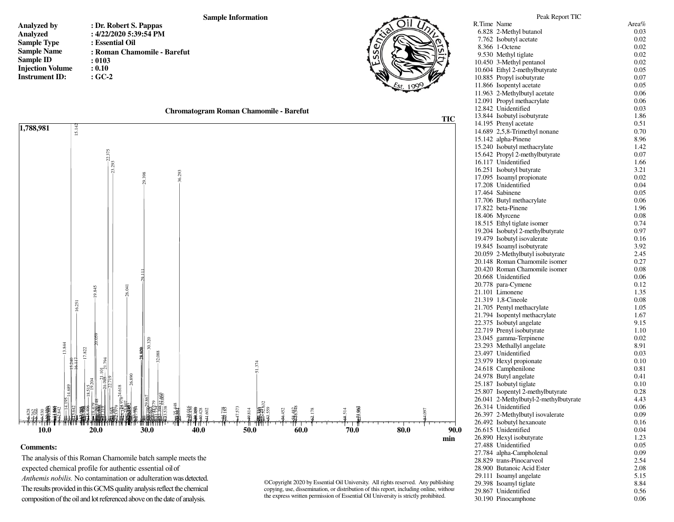## **Sample Information**

- **Analyzed by Analyzed Sample Type Sample Name Sample ID Injection Volume Instrument ID:**
- **: Dr. Robert S. Pappas : 4/22/2020 5:39:54 PM : Essential Oil : Roman Chamomile - Barefut : 0103 : 0.10 : GC-2**





## **Comments:**

The analysis of this Roman Chamomile batch sample meets the expected chemical profile for authentic essential oilof *Anthemis nobilis.* No contamination or adulteration was detected. The results provided in this GCMS quality analysis reflect the chemical composition of the oil and lot referenced above on the date of analysis.

©Copyright 2020 by Essential Oil University. All rights reserved. Any publishing, copying, use, dissemination, or distribution of this report, including online, without the express written permission of Essential Oil University is strictly prohibited.

| 6.828 2-Methyl butanol                | 0.03 |
|---------------------------------------|------|
| 7.762 Isobutyl acetate                | 0.02 |
| 8.366 1-Octene                        | 0.02 |
| 9.530 Methyl tiglate                  | 0.02 |
| 10.450 3-Methyl pentanol              | 0.02 |
| 10.604 Ethyl 2-methylbutyrate         | 0.05 |
| 10.885 Propyl isobutyrate             | 0.07 |
| 11.866 Isopentyl acetate              | 0.05 |
| 11.963 2-Methylbutyl acetate          | 0.06 |
| 12.091 Propyl methacrylate            | 0.06 |
| 12.842 Unidentified                   | 0.03 |
| 13.844 Isobutyl isobutyrate           | 1.86 |
| 14.195 Prenyl acetate                 | 0.51 |
| 14.689 2,5,8-Trimethyl nonane         | 0.70 |
| 15.142 alpha-Pinene                   | 8.96 |
| 15.240 Isobutyl methacrylate          | 1.42 |
| 15.642 Propyl 2-methylbutyrate        | 0.07 |
| 16.117 Unidentified                   | 1.66 |
| 16.251 Isobutyl butyrate              | 3.21 |
| 17.095 Isoamyl propionate             | 0.02 |
| 17.208 Unidentified                   | 0.04 |
| 17.464 Sabinene                       | 0.05 |
| 17.706 Butyl methacrylate             | 0.06 |
| 17.822 beta-Pinene                    | 1.96 |
| 18.406 Myrcene                        | 0.08 |
| 18.515 Ethyl tiglate isomer           | 0.74 |
| 19.204 Isobutyl 2-methylbutyrate      | 0.97 |
| 19.479 Isobutyl isovalerate           | 0.16 |
| 19.845 Isoamyl isobutyrate            | 3.92 |
| 20.059 2-Methylbutyl isobutyrate      | 2.45 |
| 20.148 Roman Chamomile isomer         | 0.27 |
| 20.420 Roman Chamomile isomer         | 0.08 |
| 20.668 Unidentified                   | 0.06 |
| 20.778 para-Cymene                    | 0.12 |
| 21.101 Limonene                       | 1.35 |
| 21.319 1,8-Cineole                    | 0.08 |
| 21.705 Pentyl methacrylate            | 1.05 |
| 21.794 Isopentyl methacrylate         | 1.67 |
| 22.375 Isobutyl angelate              | 9.15 |
| 22.719 Prenyl isobutyrate             | 1.10 |
| 23.045 gamma-Terpinene                | 0.02 |
| 23.293 Methallyl angelate             | 8.91 |
| 23.497 Unidentified                   | 0.03 |
| 23.979 Hexyl propionate               | 0.10 |
| 24.618 Camphenilone                   | 0.81 |
| 24.978 Butyl angelate                 | 0.41 |
| 25.187 Isobutyl tiglate               | 0.10 |
| 25.807 Isopentyl 2-methylbutyrate     | 0.28 |
| 26.041 2-Methylbutyl-2-methylbutyrate | 4.43 |
| 26.314 Unidentified                   | 0.06 |
| 26.397 2-Methylbutyl isovalerate      | 0.09 |
| 26.492 Isobutyl hexanoate             | 0.16 |
| 26.615 Unidentified                   | 0.04 |
| 26.890 Hexyl isobutyrate              | 1.23 |
| 27.488 Unidentified                   | 0.05 |
| 27.784 alpha-Campholenal              | 0.09 |
| 28.829 trans-Pinocarveol              | 2.54 |
| 28.900 Butanoic Acid Ester            | 2.08 |
| 29.111 Isoamyl angelate               | 5.15 |
| 29.398 Isoamyl tiglate                | 8.84 |
| 29.867 Unidentified                   | 0.56 |
| 30.190 Pinocamphone                   | 0.06 |

Peak Report TIC R.Time Name Area%